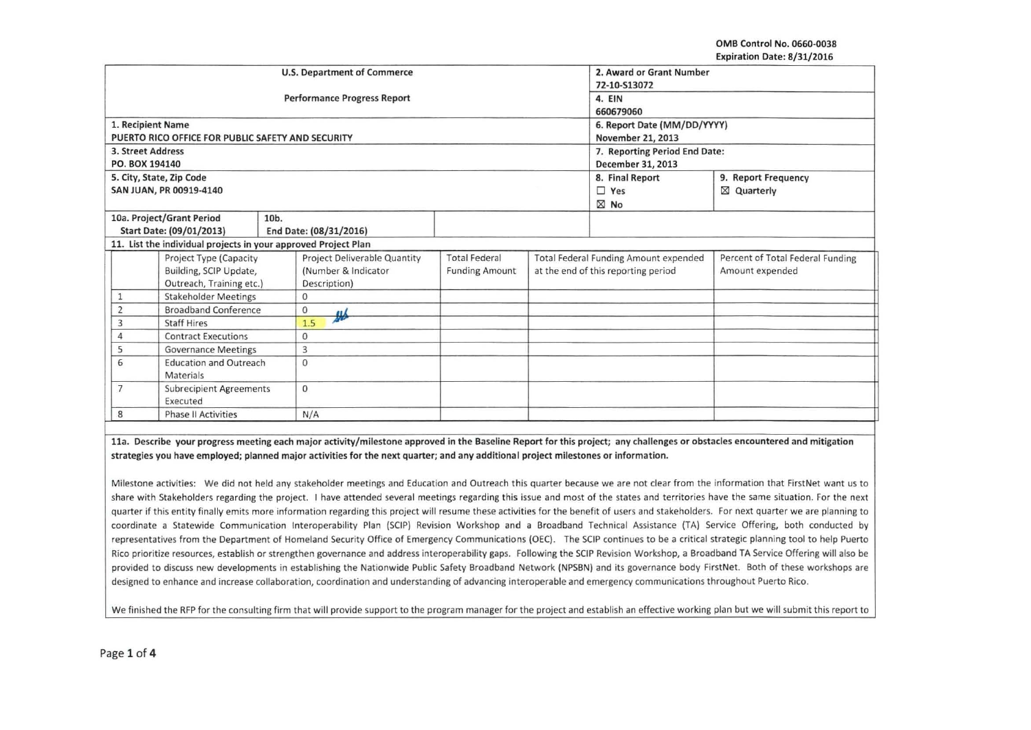OMB Control No. 0660-0038 Expiration Date: 8/31/2016

|                                                              |                                                                |                                    | <b>U.S. Department of Commerce</b>  |                       |                                     | 2. Award or Grant Number              |                                  |  |
|--------------------------------------------------------------|----------------------------------------------------------------|------------------------------------|-------------------------------------|-----------------------|-------------------------------------|---------------------------------------|----------------------------------|--|
|                                                              |                                                                |                                    |                                     |                       |                                     |                                       |                                  |  |
|                                                              |                                                                |                                    | 72-10-S13072                        |                       |                                     |                                       |                                  |  |
|                                                              |                                                                | <b>Performance Progress Report</b> | 4. EIN                              |                       |                                     |                                       |                                  |  |
|                                                              |                                                                |                                    |                                     |                       |                                     | 660679060                             |                                  |  |
|                                                              | 1. Recipient Name                                              |                                    |                                     |                       |                                     | 6. Report Date (MM/DD/YYYY)           |                                  |  |
|                                                              | PUERTO RICO OFFICE FOR PUBLIC SAFETY AND SECURITY              |                                    |                                     |                       |                                     | November 21, 2013                     |                                  |  |
|                                                              | 3. Street Address                                              |                                    |                                     |                       |                                     | 7. Reporting Period End Date:         |                                  |  |
|                                                              | PO. BOX 194140                                                 |                                    |                                     |                       |                                     | December 31, 2013                     |                                  |  |
|                                                              | 5. City, State, Zip Code                                       |                                    |                                     |                       |                                     | 8. Final Report                       | 9. Report Frequency              |  |
|                                                              | SAN JUAN, PR 00919-4140                                        |                                    |                                     |                       |                                     | $\square$ Yes                         | ⊠ Quarterly                      |  |
|                                                              |                                                                |                                    |                                     |                       |                                     | $\boxtimes$ No                        |                                  |  |
|                                                              | 10a. Project/Grant Period                                      | 10b.                               |                                     |                       |                                     |                                       |                                  |  |
|                                                              | Start Date: (09/01/2013)                                       | End Date: (08/31/2016)             |                                     |                       |                                     |                                       |                                  |  |
|                                                              | 11. List the individual projects in your approved Project Plan |                                    |                                     |                       |                                     |                                       |                                  |  |
|                                                              | Project Type (Capacity                                         |                                    | <b>Project Deliverable Quantity</b> | <b>Total Federal</b>  |                                     | Total Federal Funding Amount expended | Percent of Total Federal Funding |  |
|                                                              | Building, SCIP Update,                                         |                                    | (Number & Indicator                 | <b>Funding Amount</b> | at the end of this reporting period |                                       | Amount expended                  |  |
|                                                              | Outreach, Training etc.)                                       |                                    | Description)                        |                       |                                     |                                       |                                  |  |
|                                                              | <b>Stakeholder Meetings</b>                                    |                                    |                                     |                       |                                     |                                       |                                  |  |
| $\overline{2}$                                               | <b>Broadband Conference</b>                                    |                                    |                                     |                       |                                     |                                       |                                  |  |
| 3                                                            | <b>Staff Hires</b>                                             |                                    | $\frac{1}{2}$                       |                       |                                     |                                       |                                  |  |
| $\overline{4}$                                               | <b>Contract Executions</b>                                     |                                    |                                     |                       |                                     |                                       |                                  |  |
| 5                                                            | <b>Governance Meetings</b>                                     |                                    |                                     |                       |                                     |                                       |                                  |  |
| 6<br><b>Education and Outreach</b>                           |                                                                | $\Omega$                           |                                     |                       |                                     |                                       |                                  |  |
| Materials                                                    |                                                                |                                    |                                     |                       |                                     |                                       |                                  |  |
| $\overline{7}$<br><b>Subrecipient Agreements</b><br>Executed |                                                                | $\Omega$                           |                                     |                       |                                     |                                       |                                  |  |
| 8                                                            | <b>Phase II Activities</b>                                     | N/A                                |                                     |                       |                                     |                                       |                                  |  |

lla. Describe your progress meeting each major activity/milestone approved in the Baseline Report for this project; any challenges or obstacles encountered and mitigation strategies you have employed; planned major activities for the next quarter; and any additiona I project milestones or information.

Milestone activities: We did not held any stakeholder meetings and Education and Outreach this quarter because we are not clear from the information that FirstNet want us to share with Stakeholders regarding the project. I have attended several meetings regarding this issue and most of the states and territories have the same situation. For the next quarter if this entity finally emits more information regarding this project will resume these activities for the benefit of users and stakeholders. For next quarter we are planning to coordinate a Statewide Communication lnteroperability Plan (SCIP) Revision Workshop and a Broadband Technical Assistance (TA) Service Offering, both conducted by representatives from the Department of Homeland Security Office of Emergency Communications (OEC). The SCIP continues to be a critical strategic planning tool to help Puerto Rico prioritize resources, establish or strengthen governance and address interoperability gaps. Following the SCIP Revision Workshop, a Broadband TA Service Offering will also be provided to discuss new developments in establishing the Nationwide Public Safety Broadband Network (NPSBN) and its governance body FirstNet. Both of these workshops are designed to enhance and increase collaboration, coordination and understanding of advancing interoperable and emergency communications throughout Puerto Rico.

We finished the RFP for the consulting firm that will provide support to the program manager for the project and establish an effective working plan but we will submit this report to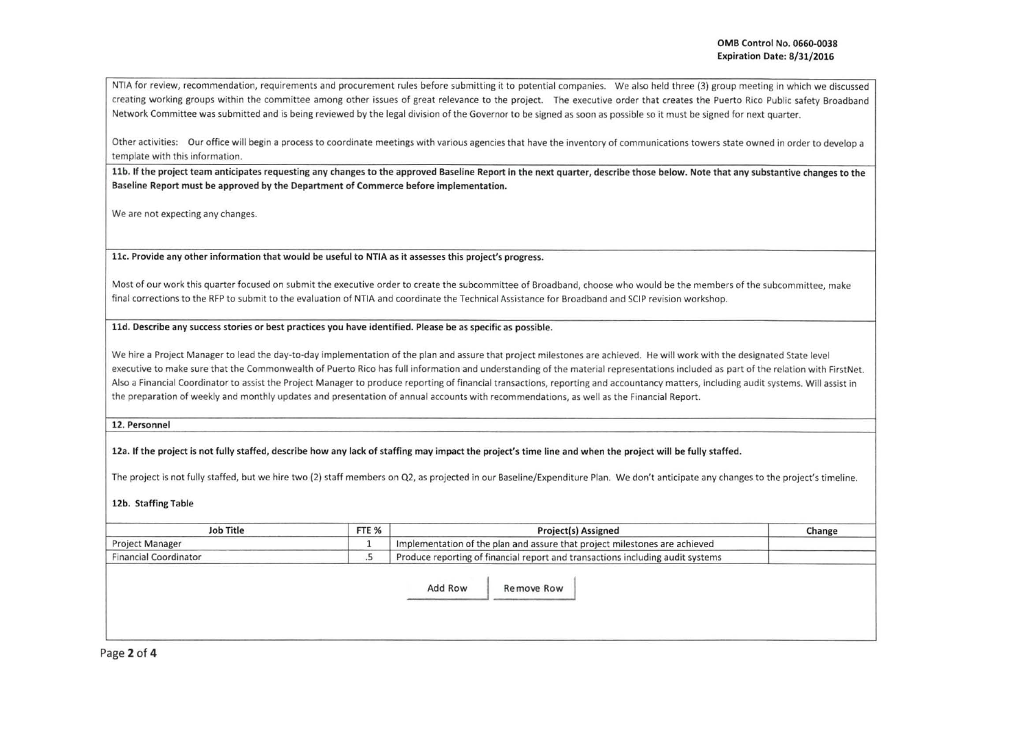NTIA for review, recommendation, requirements and procurement rules before submitting it to potential companies. We also held three (3) group meeting in which we discussed creating working groups within the committee among other issues of great relevance to the project. The executive order that creates the Puerto Rico Public safety Broadband Network Committee was submitted and is being reviewed by the legal division of the Governor to be signed as soon as possible so it must be signed for next quarter.

Other activities: Our office will begin a process to coordinate meetings with various agencies that have the inventory of communications towers state owned in order to develop a template with this information.

11b. If the project team anticipates requesting any changes to the approved Baseline Report in the next quarter, describe those below. Note that any substantive changes to the Baseline Report must be approved by the Department of Commerce before implementation.

We are not expecting any changes.

llc. Provide any other information that would be useful to NTIA as it assesses this project's progress.

Most of our work this quarter focused on submit the executive order to create the subcommittee of Broadband, choose who would be the members of the subcommittee, make final corrections to the RFP to submit to the evaluation of NTIA and coordinate the Technical Assistance for Broadband and SCIP revision workshop.

## lld. Describe any success stories or best practices you have identified. Please be as specific as possible.

We hire a Project Manager to lead the day-to-day implementation of the plan and assure that project milestones are achieved. He will work with the designated State level executive to make sure that the Commonwealth of Puerto Rico has full information and understanding of the material representations included as part of the relation with FirstNet. Also a Financial Coordinator to assist the Project Manager to produce reporting of financial transactions, reporting and accountancy matters, including audit systems. Will assist in the preparation of weekly and monthly updates and presentation of annual accounts with recommendations, as well as the Financial Report.

12. Personnel

12a. If the project is not fully staffed, describe how any lack of staffing may impact the project's time line and when the project will be fully staffed.

The project is not fully staffed, but we hire two (2) staff members on Q2, as projected in our Baseline/Expenditure Plan. We don't anticipate any changes to the project's timeline.

## 12b. Staffing Table

| <b>Job Title</b>             | FTE % | Project(s) Assigned                                                            | Change |
|------------------------------|-------|--------------------------------------------------------------------------------|--------|
| <b>Project Manage</b>        |       | Implementation of the plan and assure that project milestones are achieved     |        |
| <b>Financial Coordinator</b> |       | Produce reporting of financial report and transactions including audit systems |        |

Add Row | Remove Row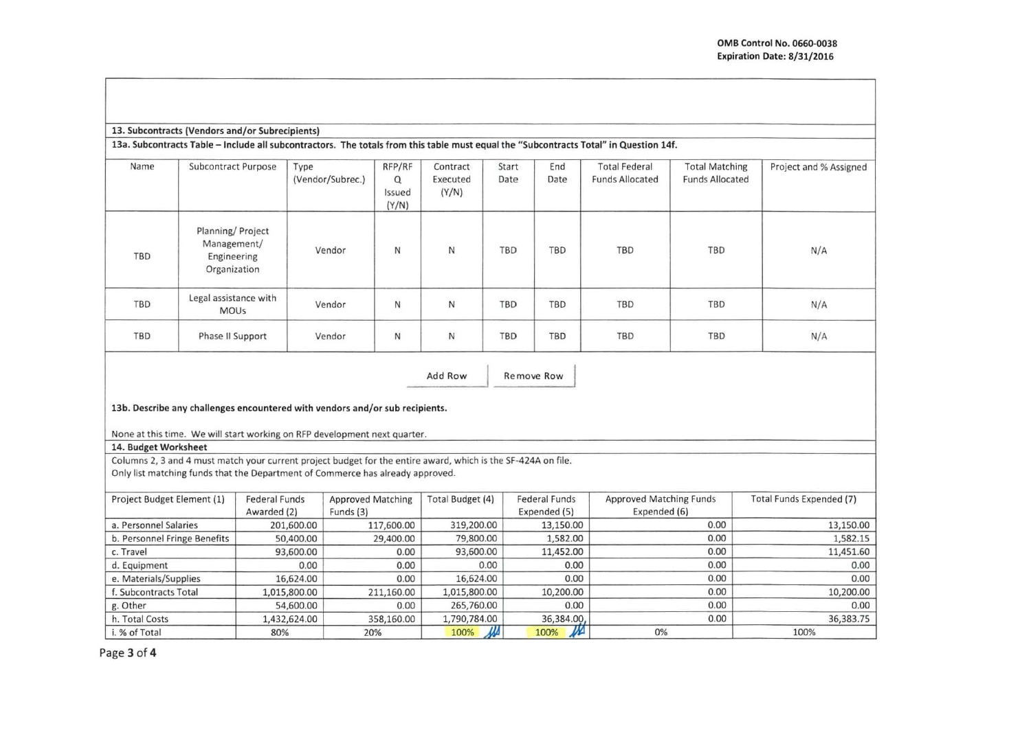## 13. Subcontracts (Vendors and/or Subrecipients)

13a. Subcontracts Table- Include all subcontractors. The totals from this table must equal the "Subcontracts Total" in Question 14f.

| Name       | Subcontract Purpose                                            | Type<br>(Vendor/Subrec.) | RFP/RF<br>Q<br>Issued<br>(Y/N) | Contract<br>Executed<br>(Y/N) | Start<br>Date | End<br>Date | <b>Total Federal</b><br><b>Funds Allocated</b> | <b>Total Matching</b><br><b>Funds Allocated</b> | Project and % Assigned |
|------------|----------------------------------------------------------------|--------------------------|--------------------------------|-------------------------------|---------------|-------------|------------------------------------------------|-------------------------------------------------|------------------------|
| TBD        | Planning/Project<br>Management/<br>Engineering<br>Organization | Vendor                   | N                              | N                             | TBD           | TBD         | TBD                                            | TBD                                             | N/A                    |
| <b>TBD</b> | Legal assistance with<br><b>MOUs</b>                           | Vendor                   | N                              | $\mathsf{N}$                  | <b>TBD</b>    | <b>TBD</b>  | <b>TBD</b>                                     | TBD                                             | N/A                    |
| TBD        | Phase II Support                                               | Vendor                   | N                              | $\mathsf N$                   | <b>TBD</b>    | <b>TBD</b>  | TBD                                            | <b>TBD</b>                                      | N/A                    |

Add Row Remove Row

13b. Describe any challenges encountered with vendors and/or sub recipients.

None at this time. We will start working on RFP development next quarter.

## 14. Budget Worksheet

Columns 2, 3 and 4 must match your current project budget for the entire award, which is the SF-424A on file.

Only list matching funds that the Department of Commerce has already approved.

| Project Budget Element (1)   | <b>Federal Funds</b> | <b>Approved Matching</b> | Total Budget (4) | Federal Funds | Approved Matching Funds | Total Funds Expended (7) |
|------------------------------|----------------------|--------------------------|------------------|---------------|-------------------------|--------------------------|
|                              | Awarded (2)          | Funds (3)                |                  | Expended (5)  | Expended (6)            |                          |
| a. Personnel Salaries        | 201,600.00           | 117,600.00               | 319,200.00       | 13,150.00     | 0.00                    | 13,150.00                |
| b. Personnel Fringe Benefits | 50,400.00            | 29,400.00                | 79,800.00        | 1,582.00      | 0.00                    | 1,582.15                 |
| c. Travel                    | 93,600.00            | 0.00                     | 93,600.00        | 11,452.00     | 0.00                    | 11,451.60                |
| d. Equipment                 | 0.00                 | 0.00                     | 0.00             | 0.00          | 0.00                    | 0.00                     |
| e. Materials/Supplies        | 16,624.00            | 0.00                     | 16,624.00        | 0.00          | 0.00                    | 0.00                     |
| f. Subcontracts Total        | 1,015,800.00         | 211,160.00               | 1,015,800.00     | 10,200.00     | 0.00                    | 10,200.00                |
| g. Other                     | 54,600.00            | 0.00                     | 265,760.00       | 0.00          | 0.00                    | 0.00                     |
| h. Total Costs               | 1,432,624.00         | 358,160.00               | 1,790,784.00     | 36,384.00,    | 0.00                    | 36,383.75                |
| i. % of Total                | 80%                  | 20%                      | М<br>100%        | $\mu$<br>100% | 0%                      | 100%                     |